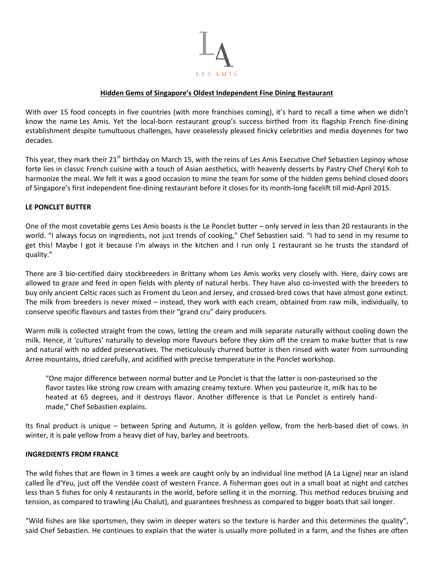

# **Hidden Gems of Singapore's Oldest Independent Fine Dining Restaurant**

With over 15 food concepts in five countries (with more franchises coming), it's hard to recall a time when we didn't know the name Les Amis. Yet the local-born restaurant group's success birthed from its flagship French fine-dining establishment despite tumultuous challenges, have ceaselessly pleased finicky celebrities and media doyennes for two decades.

This year, they mark their 21<sup>st</sup> birthday on March 15, with the reins of Les Amis Executive Chef Sebastien Lepinoy whose forte lies in classic French cuisine with a touch of Asian aesthetics, with heavenly desserts by Pastry Chef Cheryl Koh to harmonize the meal. We felt it was a good occasion to mine the team for some of the hidden gems behind closed doors of Singapore's first independent fine-dining restaurant before it closes for its month-long facelift till mid-April 2015.

# **LE PONCLET BUTTER**

One of the most covetable gems Les Amis boasts is the Le Ponclet butter – only served in less than 20 restaurants in the world. "I always focus on ingredients, not just trends of cooking," Chef Sebastien said. "I had to send in my resume to get this! Maybe I got it because I'm always in the kitchen and I run only 1 restaurant so he trusts the standard of quality."

There are 3 bio-certified dairy stockbreeders in Brittany whom Les Amis works very closely with. Here, dairy cows are allowed to graze and feed in open fields with plenty of natural herbs. They have also co-invested with the breeders to buy only ancient Celtic races such as Froment du Leon and Jersey, and crossed-bred cows that have almost gone extinct. The milk from breeders is never mixed – instead, they work with each cream, obtained from raw milk, individually, to conserve specific flavours and tastes from their "grand cru" dairy producers.

Warm milk is collected straight from the cows, letting the cream and milk separate naturally without cooling down the milk. Hence, it 'cultures' naturally to develop more flavours before they skim off the cream to make butter that is raw and natural with no added preservatives. The meticulously churned butter is then rinsed with water from surrounding Arree mountains, dried carefully, and acidified with precise temperature in the Ponclet workshop.

"One major difference between normal butter and Le Ponclet is that the latter is non-pasteurised so the flavor tastes like strong row cream with amazing creamy texture. When you pasteurize it, milk has to be heated at 65 degrees, and it destroys flavor. Another difference is that Le Ponclet is entirely handmade," Chef Sebastien explains.

Its final product is unique – between Spring and Autumn, it is golden yellow, from the herb-based diet of cows. In winter, it is pale yellow from a heavy diet of hay, barley and beetroots.

# **INGREDIENTS FROM FRANCE**

The wild fishes that are flown in 3 times a week are caught only by an individual line method (A La Ligne) near an island called Île d'Yeu, just off the Vendée coast of western France. A fisherman goes out in a small boat at night and catches less than 5 fishes for only 4 restaurants in the world, before selling it in the morning. This method reduces bruising and tension, as compared to trawling (Au Chalut), and guarantees freshness as compared to bigger boats that sail longer.

"Wild fishes are like sportsmen, they swim in deeper waters so the texture is harder and this determines the quality", said Chef Sebastien. He continues to explain that the water is usually more polluted in a farm, and the fishes are often